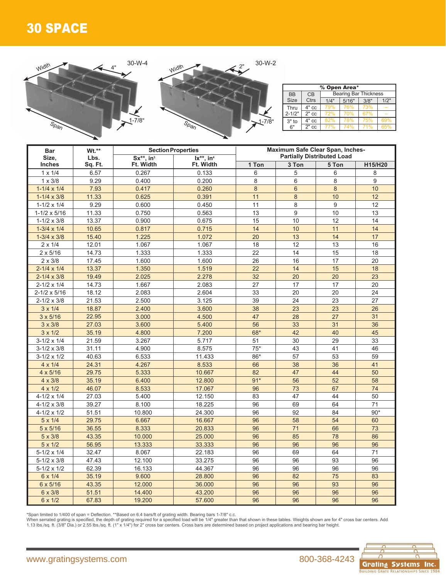## 30 SPACE



| % Open Area*       |         |                              |      |      |     |  |  |  |  |  |  |
|--------------------|---------|------------------------------|------|------|-----|--|--|--|--|--|--|
| <b>BB</b>          | CB      | <b>Bearing Bar Thickness</b> |      |      |     |  |  |  |  |  |  |
| <b>Size</b>        | Ctrs    | 1/4"                         | 3/8" | 1/2" |     |  |  |  |  |  |  |
| Thru<br>$2 - 1/2"$ | $4"$ cc | 79%                          | 76%  | 73%  |     |  |  |  |  |  |  |
|                    | $2"$ cc | 72%                          | 70%  | 67%  |     |  |  |  |  |  |  |
| $3"$ to            | $4"$ cc | 82%                          | 78%  | 75%  | 69% |  |  |  |  |  |  |
| 6"                 | $2"$ cc |                              | 74%  | 71%  | 65% |  |  |  |  |  |  |

| <b>Bar</b>            | Wt.**   |                             | <b>Section Properties</b> | Maximum Safe Clear Span, Inches-<br><b>Partially Distributed Load</b> |                |       |         |  |  |  |
|-----------------------|---------|-----------------------------|---------------------------|-----------------------------------------------------------------------|----------------|-------|---------|--|--|--|
| Size,                 | Lbs.    | $Sx^{**}$ , in <sup>3</sup> | $lx**$ , in <sup>4</sup>  |                                                                       |                |       |         |  |  |  |
| <b>Inches</b>         | Sq. Ft. | Ft. Width                   | Ft. Width                 | 1 Ton                                                                 | 3 Ton          | 5 Ton | H15/H20 |  |  |  |
| $1 \times 1/4$        | 6.57    | 0.267                       | 0.133                     | 6                                                                     | 5              | 6     | 8       |  |  |  |
| $1 \times 3/8$        | 9.29    | 0.400                       | 0.200                     | 8                                                                     | 6              | 8     | 9       |  |  |  |
| $1-1/4 \times 1/4$    | 7.93    | 0.417                       | 0.260                     | $\boldsymbol{8}$                                                      | $6\phantom{1}$ | 8     | 10      |  |  |  |
| $1 - 1/4 \times 3/8$  | 11.33   | 0.625                       | 0.391                     | 11                                                                    | $\bf 8$        | 10    | 12      |  |  |  |
| $1 - 1/2 \times 1/4$  | 9.29    | 0.600                       | 0.450                     | 11                                                                    | 8              | 9     | 12      |  |  |  |
| $1-1/2 \times 5/16$   | 11.33   | 0.750                       | 0.563                     | 13                                                                    | 9              | 10    | 13      |  |  |  |
| $1 - 1/2 \times 3/8$  | 13.37   | 0.900                       | 0.675                     | 15                                                                    | 10             | 12    | 14      |  |  |  |
| $1-3/4 \times 1/4$    | 10.65   | 0.817                       | 0.715                     | 14                                                                    | 10             | 11    | 14      |  |  |  |
| $1 - 3/4 \times 3/8$  | 15.40   | 1.225                       | 1.072                     | 20                                                                    | 13             | 14    | 17      |  |  |  |
| $2 \times 1/4$        | 12.01   | 1.067                       | 1.067                     | 18                                                                    | 12             | 13    | 16      |  |  |  |
| $2 \times 5/16$       | 14.73   | 1.333                       | 1.333                     | 22                                                                    | 14             | 15    | 18      |  |  |  |
| $2 \times 3/8$        | 17.45   | 1.600                       | 1.600                     | 26                                                                    | 16             | 17    | 20      |  |  |  |
| $2 - 1/4 \times 1/4$  | 13.37   | 1.350                       | 1.519                     | 22                                                                    | 14             | 15    | 18      |  |  |  |
| $2 - 1/4 \times 3/8$  | 19.49   | 2.025                       | 2.278                     | 32                                                                    | 20             | 20    | 23      |  |  |  |
| $2 - 1/2 \times 1/4$  | 14.73   | 1.667                       | 2.083                     | 27                                                                    | 17             | 17    | 20      |  |  |  |
| $2 - 1/2 \times 5/16$ | 18.12   | 2.083                       | 2.604                     | 33                                                                    | 20             | 20    | 24      |  |  |  |
| $2 - 1/2 \times 3/8$  | 21.53   | 2.500                       | 3.125                     | 39                                                                    | 24             | 23    | 27      |  |  |  |
| $3 \times 1/4$        | 18.87   | 2.400                       | 3.600                     | 38                                                                    | 23             | 23    | 26      |  |  |  |
| $3 \times 5/16$       | 22.95   | 3.000                       | 4.500                     | 47                                                                    | 28             | 27    | 31      |  |  |  |
| $3 \times 3/8$        | 27.03   | 3.600                       | 5.400                     | 56                                                                    | 33             | 31    | 36      |  |  |  |
| $3 \times 1/2$        | 35.19   | 4.800                       | 7.200                     | 68*                                                                   | 42             | 40    | 45      |  |  |  |
| $3-1/2 \times 1/4$    | 21.59   | 3.267                       | 5.717                     | 51                                                                    | 30             | 29    | 33      |  |  |  |
| $3 - 1/2 \times 3/8$  | 31.11   | 4.900                       | 8.575                     | $75*$                                                                 | 43             | 41    | 46      |  |  |  |
| $3-1/2 \times 1/2$    | 40.63   | 6.533                       | 11.433                    | 86*                                                                   | 57             | 53    | 59      |  |  |  |
| $4 \times 1/4$        | 24.31   | 4.267                       | 8.533                     | 66                                                                    | 38             | 36    | 41      |  |  |  |
| $4 \times 5/16$       | 29.75   | 5.333                       | 10.667                    | 82                                                                    | 47             | 44    | 50      |  |  |  |
| $4 \times 3/8$        | 35.19   | 6.400                       | 12.800                    | $91*$                                                                 | 56             | 52    | 58      |  |  |  |
| $4 \times 1/2$        | 46.07   | 8.533                       | 17.067                    | 96                                                                    | 73             | 67    | 74      |  |  |  |
| $4-1/2 \times 1/4$    | 27.03   | 5.400                       | 12.150                    | 83                                                                    | 47             | 44    | 50      |  |  |  |
| $4 - 1/2 \times 3/8$  | 39.27   | 8.100                       | 18.225                    | 96                                                                    | 69             | 64    | 71      |  |  |  |
| $4 - 1/2 \times 1/2$  | 51.51   | 10.800                      | 24.300                    | 96                                                                    | 92             | 84    | $90*$   |  |  |  |
| $5 \times 1/4$        | 29.75   | 6.667                       | 16.667                    | 96                                                                    | 58             | 54    | 60      |  |  |  |
| $5 \times 5/16$       | 36.55   | 8.333                       | 20.833                    | 96                                                                    | 71             | 66    | 73      |  |  |  |
| $5 \times 3/8$        | 43.35   | 10.000                      | 25.000                    | 96                                                                    | 85             | 78    | 86      |  |  |  |
| $5 \times 1/2$        | 56.95   | 13.333                      | 33.333                    | 96                                                                    | 96             | 96    | 96      |  |  |  |
| $5-1/2 \times 1/4$    | 32.47   | 8.067                       | 22.183                    | 96                                                                    | 69             | 64    | 71      |  |  |  |
| $5 - 1/2 \times 3/8$  | 47.43   | 12.100                      | 33.275                    | 96                                                                    | 96             | 93    | 96      |  |  |  |
| $5-1/2 \times 1/2$    | 62.39   | 16.133                      | 44.367                    | 96                                                                    | 96             | 96    | 96      |  |  |  |
| 6 x 1/4               | 35.19   | 9.600                       | 28.800                    | 96                                                                    | 82             | 75    | 83      |  |  |  |
| 6 x 5/16              | 43.35   | 12.000                      | 36.000                    | 96                                                                    | 96             | 93    | 96      |  |  |  |
| 6 x 3/8               | 51.51   | 14.400                      | 43.200                    | 96                                                                    | 96             | 96    | 96      |  |  |  |
| 6 x 1/2               | 67.83   | 19.200                      | 57.600                    | 96                                                                    | 96             | 96    | 96      |  |  |  |
|                       |         |                             |                           |                                                                       |                |       |         |  |  |  |

\*Span limited to 1/400 of span = Deflection. \*\*Based on 6.4 bars/ft of grating width. Bearing bars 1-7/8" c.c.<br>When serrated grating is specified, the depth of grating required for a specified load will be 1/4" greater tha